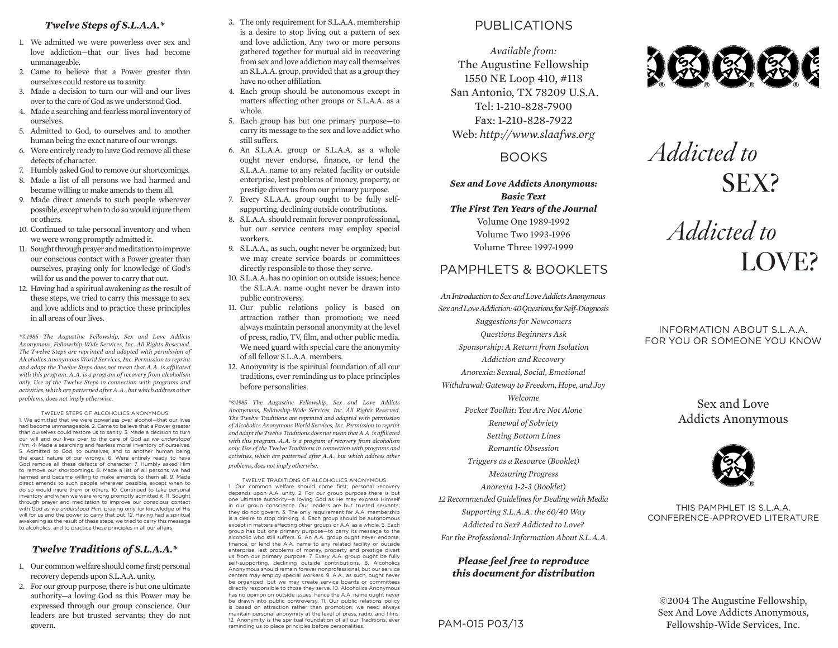#### *Twelve Steps of S.L.A.A.\**

- 1. We admitted we were powerless over sex and love addiction—that our lives had become unmanageable.
- 2. Came to believe that a Power greater than ourselves could restore us to sanity.
- 3. Made a decision to turn our will and our lives over to the care of God as we understood God.
- 4. Made a searching and fearless moral inventory of ourselves.
- 5. Admitted to God, to ourselves and to another human being the exact nature of our wrongs.
- 6. Were entirely ready to have God remove all these defects of character.
- 7. Humbly asked God to remove our shortcomings.
- 8. Made a list of all persons we had harmed and became willing to make amends to them all.
- 9. Made direct amends to such people wherever possible, except when to do so would injure them or others.
- 10. Continued to take personal inventory and when we were wrong promptly admitted it.
- 11. Sought through prayer and meditation to improve our conscious contact with a Power greater than ourselves, praying only for knowledge of God's will for us and the power to carry that out.
- 12. Having had a spiritual awakening as the result of these steps, we tried to carry this message to sex and love addicts and to practice these principles in all areas of our lives.

*\*©1985 The Augustine Fellowship, Sex and Love Addicts Anonymous, Fellowship-Wide Services, Inc. All Rights Reserved. The Twelve Steps are reprinted and adapted with permission of Alcoholics Anonymous World Services, Inc. Permission to reprint and adapt the Twelve Steps does not mean that A.A. is affiliated with this program. A.A. is a program of recovery from alcoholism only. Use of the Twelve Steps in connection with programs and activities, which are patterned after A.A., but which address other problems, does not imply otherwise.*

TWELVE STEPS OF ALCOHOLICS ANONYMOUS 1. We admitted that we were powerless over alcohol—that our lives had become unmanageable. 2. Came to believe that a Power greater than ourselves could restore us to sanity. 3. Made a decision to turn our will and our lives over to the care of God *as we understood Him*. 4. Made a searching and fearless moral inventory of ourselves. 5. Admitted to God, to ourselves, and to another human being the exact nature of our wrongs. 6. Were entirely ready to have God remove all these defects of character. 7. Humbly asked Him to remove our shortcomings. 8. Made a list of all persons we had harmed and became willing to make amends to them all. 9. Made direct amends to such people wherever possible, except when to do so would injure them or others. 10. Continued to take personal inventory and when we were wrong promptly admitted it. 11. Sought through prayer and meditation to improve our conscious contact with God *as we understood Him*, praying only for knowledge of His will for us and the power to carry that out. 12. Having had a spiritual awakening as the result of these steps, we tried to carry this message to alcoholics, and to practice these principles in all our afairs.

#### *Twelve Traditions of S.L.A.A.\**

- 1. Our common welfare should come first; personal recovery depends upon S.L.A.A. unity.
- 2. For our group purpose, there is but one ultimate authority—a loving God as this Power may be expressed through our group conscience. Our leaders are but trusted servants; they do not govern.
- 3. The only requirement for S.L.A.A. membership is a desire to stop living out a pattern of sex and love addiction. Any two or more persons gathered together for mutual aid in recovering from sex and love addiction may call themselves an S.L.A.A. group, provided that as a group they have no other affiliation.
- 4. Each group should be autonomous except in matters affecting other groups or S.L.A.A. as a whole.
- 5. Each group has but one primary purpose—to carry its message to the sex and love addict who still suffers.
- 6. An S.L.A.A. group or S.L.A.A. as a whole ought never endorse, finance, or lend the S.L.A.A. name to any related facility or outside enterprise, lest problems of money, property, or prestige divert us from our primary purpose.
- 7. Every S.L.A.A. group ought to be fully selfsupporting, declining outside contributions.
- 8. S.L.A.A. should remain forever nonprofessional, but our service centers may employ special workers.
- 9. S.L.A.A., as such, ought never be organized; but we may create service boards or committees directly responsible to those they serve.
- 10. S.L.A.A. has no opinion on outside issues; hence the S.L.A.A. name ought never be drawn into public controversy.
- 11. Our public relations policy is based on attraction rather than promotion; we need always maintain personal anonymity at the level of press, radio, TV, film, and other public media. We need guard with special care the anonymity of all fellow S.L.A.A. members.
- 12. Anonymity is the spiritual foundation of all our traditions, ever reminding us to place principles before personalities.

*\*©1985 The Augustine Fellowship, Sex and Love Addicts Anonymous, Fellowship-Wide Services, Inc. All Rights Reserved. The Twelve Traditions are reprinted and adapted with permission of Alcoholics Anonymous World Services, Inc. Permission to reprint and adapt the Twelve Traditions does not mean that A.A. is affiliated*  with this program. A.A. is a program of recovery from alcoholism *only. Use of the Twelve Traditions in connection with programs and activities, which are patterned after A.A., but which address other problems, does not imply otherwise.*

TWELVE TRADITIONS OF ALCOHOLICS ANONYMOUS 1. Our common welfare should come first; personal recovery depends upon A.A. unity. 2. For our group purpose there is but one ultimate authority—a loving God as He may express Himself in our group conscience. Our leaders are but trusted servants; they do not govern. 3. The only requirement for A.A. membership is a desire to stop drinking. 4. Each group should be autonomous except in matters afecting other groups or A.A. as a whole. 5. Each group has but one primary purpose—to carry its message to the alcoholic who still sufers. 6. An A.A. group ought never endorse, finance, or lend the A.A. name to any related facility or outside enterprise, lest problems of money, property and prestige divert us from our primary purpose. 7. Every A.A. group ought be fully self-supporting, declining outside contributions. 8. Alcoholics Anonymous should remain forever nonprofessional, but our service centers may employ special workers. 9. A.A., as such, ought never be organized; but we may create service boards or committees directly responsible to those they serve. 10. Alcoholics Anonymous has no opinion on outside issues; hence the A.A. name ought never be drawn into public controversy. 11. Our public relations policy is based on attraction rather than promotion; we need always maintain personal anonymity at the level of press, radio, and films. 12. Anonymity is the spiritual foundation of all our Traditions, ever reminding us to place principles before personalities.

## PUBLICATIONS

*Available from:* The Augustine Fellowship 1550 NE Loop 410, #118 San Antonio, TX 78209 U.S.A. Tel: 1-210-828-7900 Fax: 1-210-828-7922 Web: *http://www.slaafws.org*

BOOKS

*Sex and Love Addicts Anonymous: Basic Text The First Ten Years of the Journal* Volume One 1989-1992 Volume Two 1993-1996 Volume Three 1997-1999

#### PAMPHI FTS & BOOKLETS

*An Introduction to Sex and Love Addicts Anonymous Sex and Love Addiction: 40 Questions for Self-Diagnosis Suggestions for Newcomers Questions Beginners Ask Sponsorship: A Return from Isolation Addiction and Recovery Anorexia: Sexual, Social, Emotional Withdrawal: Gateway to Freedom, Hope, and Joy Welcome Pocket Toolkit: You Are Not Alone Renewal of Sobriety Setting Bottom Lines Romantic Obsession Triggers as a Resource (Booklet) Measuring Progress Anorexia 1-2-3 (Booklet) 12 Recommended Guidelines for Dealing with Media Supporting S.L.A.A. the 60/40 Way Addicted to Sex? Addicted to Love? For the Professional: Information About S.L.A.A.*

#### *Please feel free to reproduce this document for distribution*

#### PAM-015 P03/13



# *Addicted to* SEX?

*Addicted to* LOVE?

#### INFORMATION ABOUT S.L.A.A. FOR YOU OR SOMEONE YOU KNOW

Sex and Love Addicts Anonymous



THIS PAMPHLET IS S.L.A.A. CONFERENCE-APPROVED LITERATURE

©2004 The Augustine Fellowship, Sex And Love Addicts Anonymous, Fellowship-Wide Services, Inc.